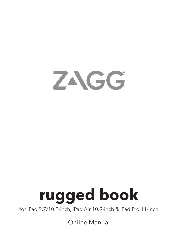

# **rugged book**

for iPad 9.7/10.2-inch, iPad Air 10.9-inch & iPad Pro 11-inch

Online Manual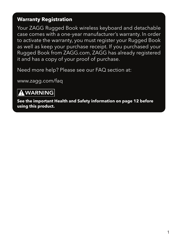#### **Warranty Registration**

Your ZAGG Rugged Book wireless keyboard and detachable case comes with a one-year manufacturer's warranty. In order to activate the warranty, you must register your Rugged Book as well as keep your purchase receipt. If you purchased your Rugged Book from ZAGG.com, ZAGG has already registered it and has a copy of your proof of purchase.

Need more help? Please see our FAQ section at:

[www.zagg.com/faq](http://www.zagg.com/faq)

#### **A WARNING**

**See the important Health and Safety information on page 12 before using this product.**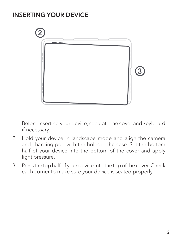#### INSERTING YOUR DEVICE



- 1. Before inserting your device, separate the cover and keyboard if necessary.
- 2. Hold your device in landscape mode and align the camera and charging port with the holes in the case. Set the bottom half of your device into the bottom of the cover and apply light pressure.
- 3. Press the top half of your device into the top of the cover. Check each corner to make sure your device is seated properly.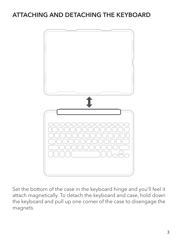### ATTACHING AND DETACHING THE KEYBOARD



Set the bottom of the case in the keyboard hinge and you'll feel it attach magnetically. To detach the keyboard and case, hold down the keyboard and pull up one corner of the case to disengage the magnets.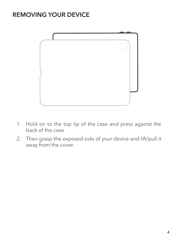#### REMOVING YOUR DEVICE



- 1. Hold on to the top lip of the case and press against the back of the case.
- 2. Then grasp the exposed side of your device and lift/pull it away from the cover.  $\overline{\phantom{a}}$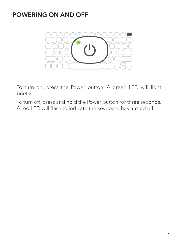#### POWERING ON AND OFF



To turn on, press the Power button. A green LED will light briefly.

To turn off, press and hold the Power button for three seconds. A red LED will flash to indicate the keyboard has turned off.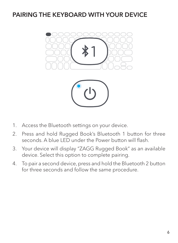#### PAIRING THE KEYBOARD WITH YOUR DEVICE





- 1. Access the Bluetooth settings on your device.
- 2. Press and hold Rugged Book's Bluetooth 1 button for three seconds. A blue LED under the Power button will flash.
- 3. Your device will display "ZAGG Rugged Book" as an available device. Select this option to complete pairing.
- 4. To pair a second device, press and hold the Bluetooth 2 button for three seconds and follow the same procedure.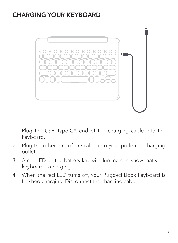#### CHARGING YOUR KEYBOARD



- 1. Plug the USB Type-C® end of the charging cable into the keyboard. **Disconnecting Your Keyboard:**
- 2. Plug the other end of the cable into your preferred charging outlet.  $2.$
- 3. A red LED on the battery key will illuminate to show that your keyboard is charging.  $\overline{a}$ 
	- 4. When the red LED turns off, your Rugged Book keyboard is finished charging. Disconnect the charging cable.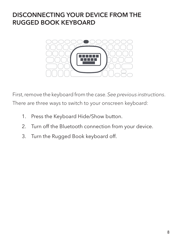#### DISCONNECTING YOUR DEVICE FROM THE RUGGED BOOK KEYBOARD



First, remove the keyboard from the case. *See previous instructions*. There are three ways to switch to your onscreen keyboard:

- 1. Press the Keyboard Hide/Show button.
- 2. Turn off the Bluetooth connection from your device.<br>2. Turn the Bugged Book keyboard off
- 3. Turn the Rugged Book keyboard off.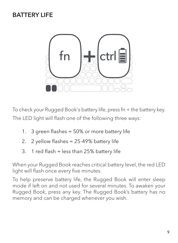#### BATTERY LIFE



To check your Rugged Book's battery life, press fn + the battery key. The LED light will flash one of the following three ways:

- 1. 3 green flashes = 50% or more battery life
- 2. 2 yellow flashes = 25-49% battery life
- 3. 1 red flash = less than 25% battery life

When your Rugged Book reaches critical battery level, the red LED light will flash once every five minutes.

To help preserve battery life, the Rugged Book will enter sleep mode if left on and not used for several minutes. To awaken your Rugged Book, press any key. The Rugged Book's battery has no memory and can be charged whenever you wish.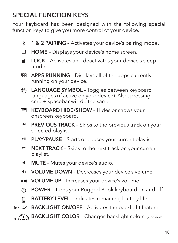## SPECIAL FUNCTION KEYS

Your keyboard has been designed with the following special function keys to give you more control of your device.

- 1 & 2 PAIRING Activates your device's pairing mode. ∗.
- П HOME – Displays your device's home screen.
- LOCK Activates and deactivates your device's sleep  $\bullet$ mode.
- 588 APPS RUNNING – Displays all of the apps currently running on your device.
- LANGUAGE SYMBOL Toggles between keyboard ⊕ languages (if active on your device). Also, pressing cmd + spacebar will do the same.
- **EXEYBOARD HIDE/SHOW** Hides or shows your onscreen keyboard.
- $\blacktriangleleft$ PREVIOUS TRACK - Skips to the previous track on your selected playlist.
- $H$ PLAY/PAUSE - Starts or pauses your current playlist.
- ÞÞ. **NEXT TRACK** - Skips to the next track on your current playlist.
- $\blacktriangleleft$ MUTE – Mutes your device's audio.
- $\blacktriangleleft$ VOLUME DOWN – Decreases your device's volume.
- $\blacktriangleleft$  )) VOLUME UP – Increases your device's volume.
- **POWER** Turns your Rugged Book keyboard on and off.  $\left(\cdot\right)$
- **BATTERY LEVEL** Indicates remaining battery life. ⋒
- $fn + 222$  **BACKLIGHT ON/OFF** Activates the backlight feature.
- $f_{\text{fn}}\colon\text{X}\to\text{BACKLIGHT COLOR}$  Changes backlight colors. (7 possible)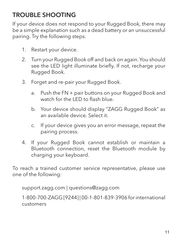## TROUBLE SHOOTING

If your device does not respond to your Rugged Book, there may be a simple explanation such as a dead battery or an unsuccessful pairing. Try the following steps.

- 1. Restart your device.
- 2. Turn your Rugged Book off and back on again. You should see the LED light illuminate briefly. If not, recharge your Rugged Book.
- 3. Forget and re-pair your Rugged Book.
	- a. Push the FN + pair buttons on your Rugged Book and watch for the LED to flash blue.
	- b. Your device should display "ZAGG Rugged Book" as an available device. Select it.
	- c. If your device gives you an error message, repeat the pairing process.
- 4. If your Rugged Book cannot establish or maintain a Bluetooth connection, reset the Bluetooth module by charging your keyboard.

To reach a trained customer service representative, please use one of the following:

[support.zagg.com](http://support.zagg.com) | [questions@zagg.com](mailto:questions%40zagg.com?subject=)

1-800-700-ZAGG [9244] | 00-1-801-839-3906 for international customers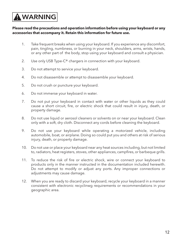## **A WARNING**

#### **Please read the precautions and operation information before using your keyboard or any accessories that accompany it. Retain this information for future use.**

- 1. Take frequent breaks when using your keyboard. If you experience any discomfort, pain, tingling, numbness, or burning in your neck, shoulders, arms, wrists, hands, or any other part of the body, stop using your keyboard and consult a physician.
- 2. Use only USB Type-C® chargers in connection with your keyboard.
- 3. Do not attempt to service your keyboard.
- 4. Do not disassemble or attempt to disassemble your keyboard.
- 5. Do not crush or puncture your keyboard.
- 6. Do not immerse your keyboard in water.
- 7. Do not put your keyboard in contact with water or other liquids as they could cause a short circuit, fire, or electric shock that could result in injury, death, or property damage.
- 8. Do not use liquid or aerosol cleaners or solvents on or near your keyboard. Clean only with a soft, dry cloth. Disconnect any cords before cleaning the keyboard.
- 9. Do not use your keyboard while operating a motorized vehicle, including automobile, boat, or airplane. Doing so could put you and others at risk of serious injury, death, or property damage.
- 10. Do not use or place your keyboard near any heat sources including, but not limited to, radiators, heat registers, stoves, other appliances, campfires, or barbeque grills.
- 11. To reduce the risk of fire or electric shock, wire or connect your keyboard to products only in the manner instructed in the documentation included herewith. Do not attempt to modify or adjust any ports. Any improper connections or adjustments may cause damage.
- 12. When you are ready to discard your keyboard, recycle your keyboard in a manner consistent with electronic recyclinwg requirements or recommendations in your geographic area.